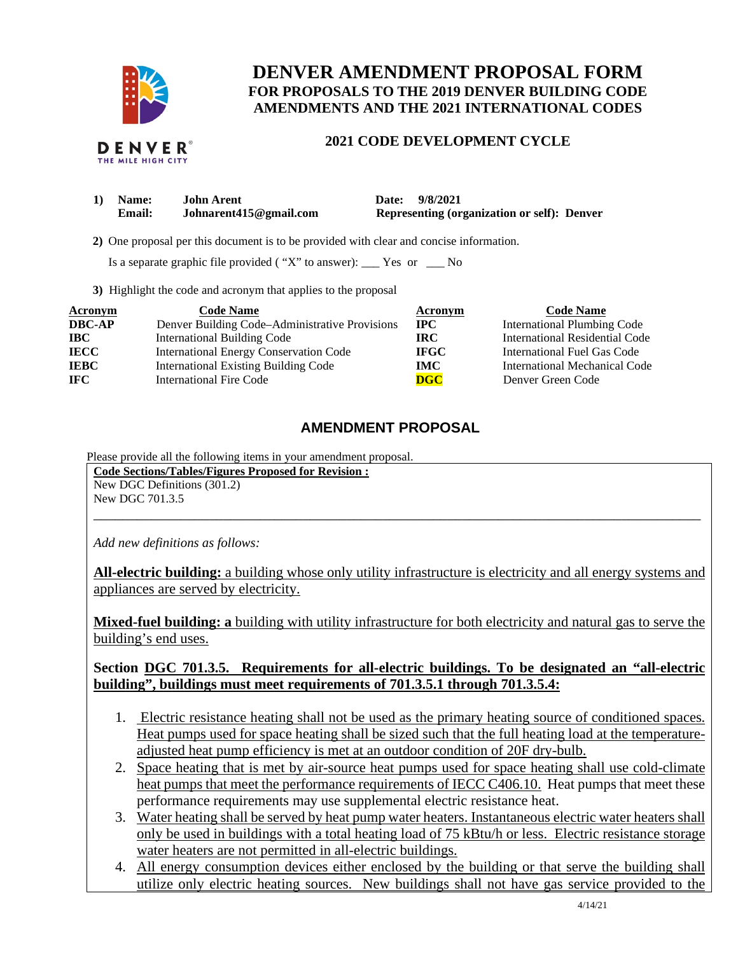

# **DENVER AMENDMENT PROPOSAL FORM FOR PROPOSALS TO THE 2019 DENVER BUILDING CODE AMENDMENTS AND THE 2021 INTERNATIONAL CODES**

# **2021 CODE DEVELOPMENT CYCLE**

| 1) Name:      | John Arent             | Date: 9/8/2021                                     |
|---------------|------------------------|----------------------------------------------------|
| <b>Email:</b> | Johnarent415@gmail.com | <b>Representing (organization or self): Denver</b> |

 **2)** One proposal per this document is to be provided with clear and concise information.

Is a separate graphic file provided ( "X" to answer): \_\_\_ Yes or \_\_\_ No

**3)** Highlight the code and acronym that applies to the proposal

| Acronym       | <b>Code Name</b>                               | Acronym     | <b>Code Name</b>                      |
|---------------|------------------------------------------------|-------------|---------------------------------------|
| <b>DBC-AP</b> | Denver Building Code-Administrative Provisions | $\bf IPC$   | <b>International Plumbing Code</b>    |
| <b>IBC</b>    | <b>International Building Code</b>             | IRC.        | <b>International Residential Code</b> |
| <b>IECC</b>   | <b>International Energy Conservation Code</b>  | <b>IFGC</b> | International Fuel Gas Code           |
| <b>IEBC</b>   | <b>International Existing Building Code</b>    | IMC .       | International Mechanical Code         |
| <b>IFC</b>    | <b>International Fire Code</b>                 | $\bf DGC$   | Denver Green Code                     |

## **AMENDMENT PROPOSAL**

Please provide all the following items in your amendment proposal.

**Code Sections/Tables/Figures Proposed for Revision :** 

New DGC Definitions (301.2) New DGC 701.3.5

*Add new definitions as follows:* 

**All-electric building:** a building whose only utility infrastructure is electricity and all energy systems and appliances are served by electricity.

\_\_\_\_\_\_\_\_\_\_\_\_\_\_\_\_\_\_\_\_\_\_\_\_\_\_\_\_\_\_\_\_\_\_\_\_\_\_\_\_\_\_\_\_\_\_\_\_\_\_\_\_\_\_\_\_\_\_\_\_\_\_\_\_\_\_\_\_\_\_\_\_\_\_\_\_\_\_\_\_\_\_\_\_

**Mixed-fuel building: a** building with utility infrastructure for both electricity and natural gas to serve the building's end uses.

### **Section DGC 701.3.5. Requirements for all-electric buildings. To be designated an "all-electric building", buildings must meet requirements of 701.3.5.1 through 701.3.5.4:**

- 1. Electric resistance heating shall not be used as the primary heating source of conditioned spaces. Heat pumps used for space heating shall be sized such that the full heating load at the temperatureadjusted heat pump efficiency is met at an outdoor condition of 20F dry-bulb.
- 2. Space heating that is met by air-source heat pumps used for space heating shall use cold-climate heat pumps that meet the performance requirements of IECC C406.10. Heat pumps that meet these performance requirements may use supplemental electric resistance heat.
- 3. Water heating shall be served by heat pump water heaters. Instantaneous electric water heaters shall only be used in buildings with a total heating load of 75 kBtu/h or less. Electric resistance storage water heaters are not permitted in all-electric buildings.
- 4. All energy consumption devices either enclosed by the building or that serve the building shall utilize only electric heating sources. New buildings shall not have gas service provided to the